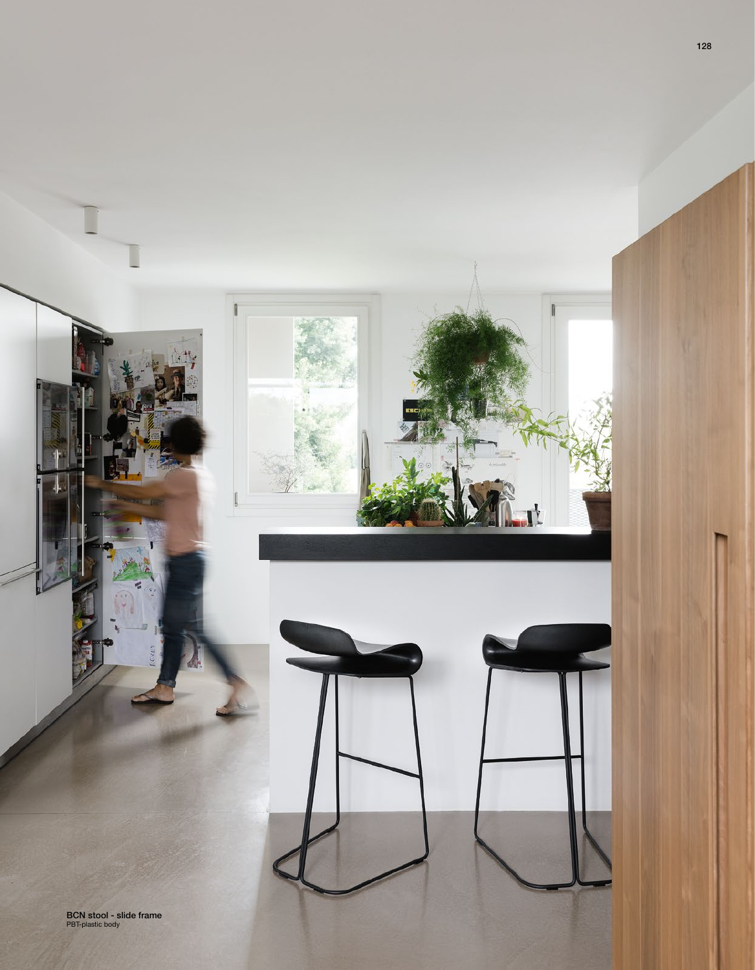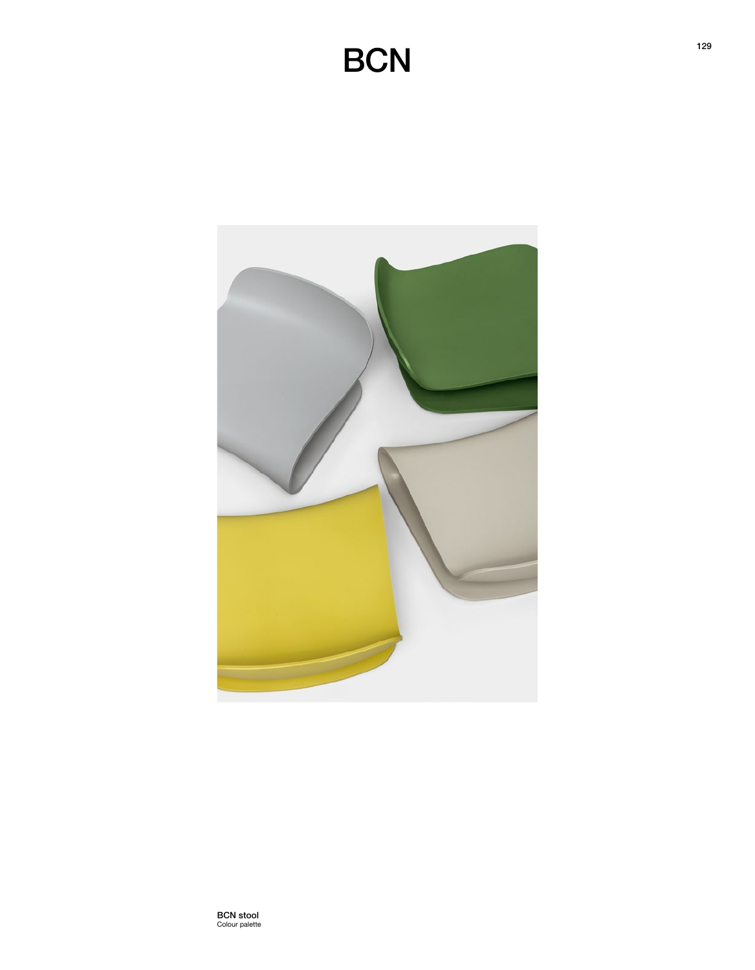## **BCN**



BCN stool Colour palette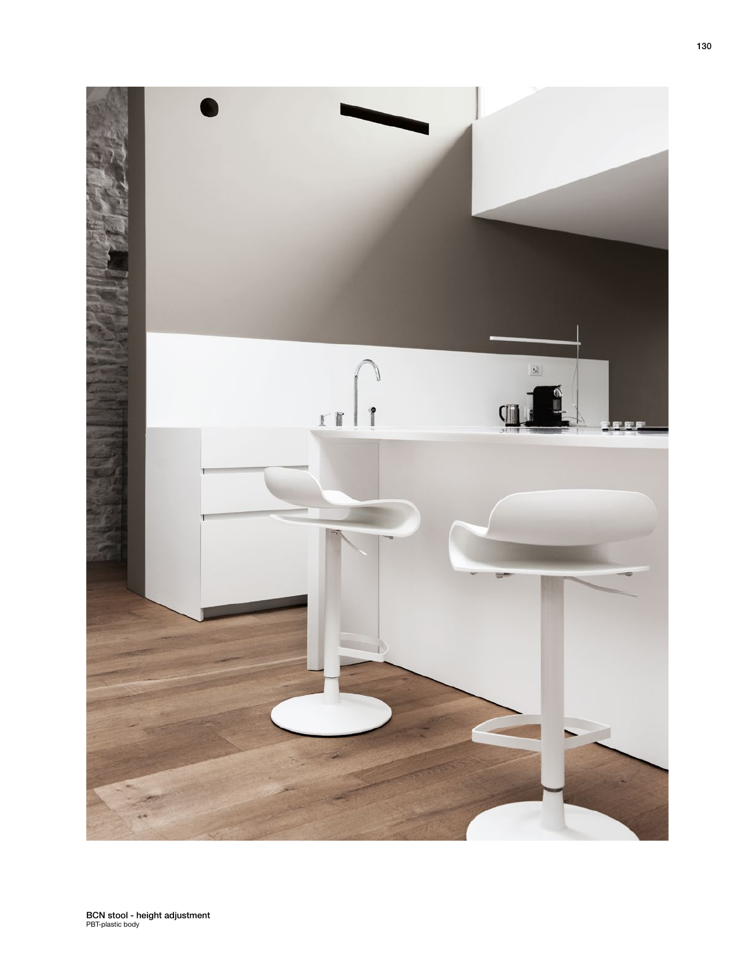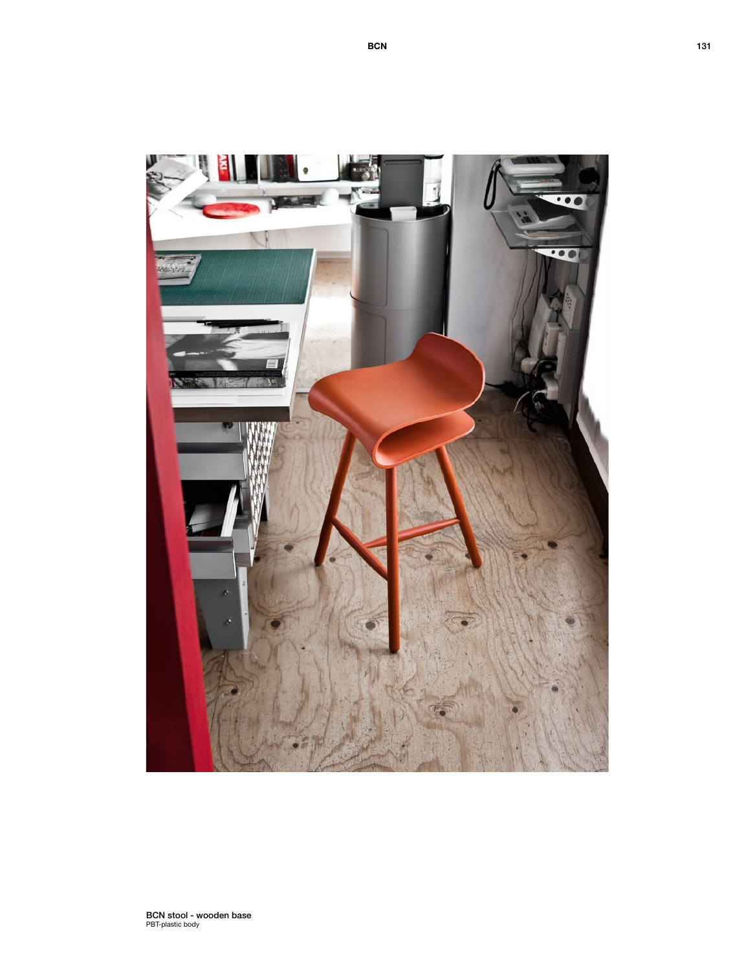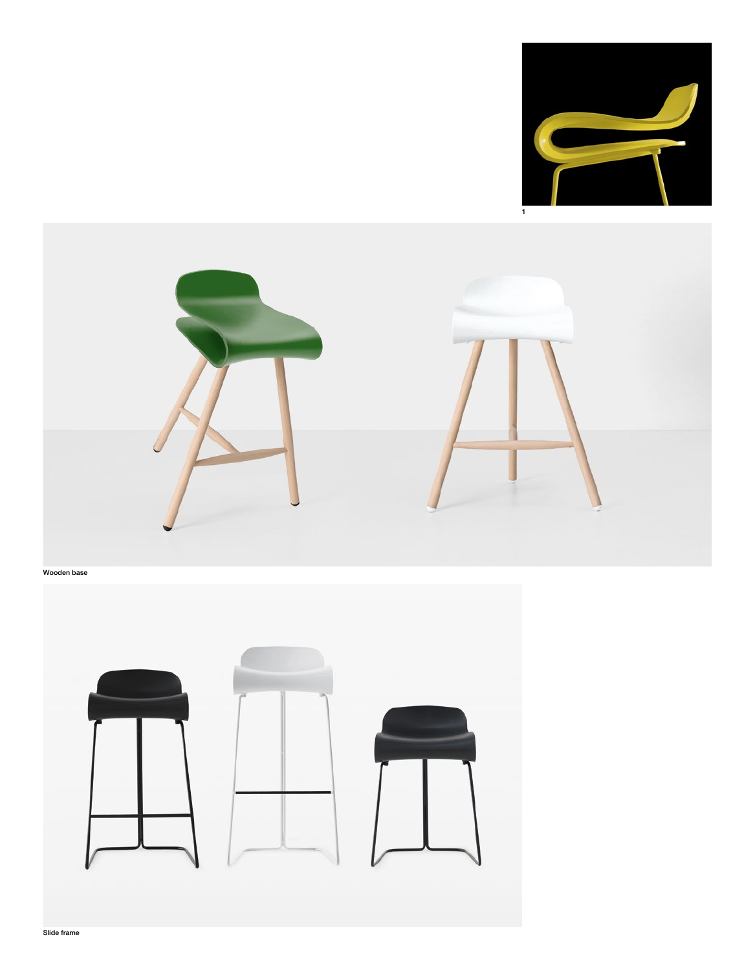



Wooden base